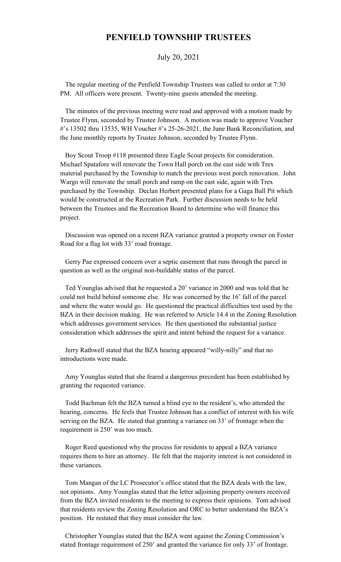## **PENFIELD TOWNSHIP TRUSTEES**

July 20, 2021

 The regular meeting of the Penfield Township Trustees was called to order at 7:30 PM. All officers were present. Twenty-nine guests attended the meeting.

 The minutes of the previous meeting were read and approved with a motion made by Trustee Flynn, seconded by Trustee Johnson. A motion was made to approve Voucher #'s 13502 thru 13535, WH Voucher #'s 25-26-2021, the June Bank Reconciliation, and the June monthly reports by Trustee Johnson, seconded by Trustee Flynn.

 Boy Scout Troop #118 presented three Eagle Scout projects for consideration. Michael Spatafore will renovate the Town Hall porch on the east side with Trex material purchased by the Township to match the previous west porch renovation. John Wargo will renovate the small porch and ramp on the east side, again with Trex purchased by the Township. Declan Herbert presented plans for a Gaga Ball Pit which would be constructed at the Recreation Park. Further discussion needs to be held between the Trustees and the Recreation Board to determine who will finance this project.

 Discussion was opened on a recent BZA variance granted a property owner on Foster Road for a flag lot with 33' road frontage.

 Gerry Pae expressed concern over a septic easement that runs through the parcel in question as well as the original non-buildable status of the parcel.

 Ted Younglas advised that he requested a 20' variance in 2000 and was told that he could not build behind someone else. He was concerned by the 16' fall of the parcel and where the water would go. He questioned the practical difficulties test used by the BZA in their decision making. He was referred to Article 14.4 in the Zoning Resolution which addresses government services. He then questioned the substantial justice consideration which addresses the spirit and intent behind the request for a variance.

 Jerry Rathwell stated that the BZA hearing appeared "willy-nilly" and that no introductions were made.

 Amy Younglas stated that she feared a dangerous precedent has been established by granting the requested variance.

 Todd Bachman felt the BZA turned a blind eye to the resident's, who attended the hearing, concerns. He feels that Trustee Johnson has a conflict of interest with his wife serving on the BZA. He stated that granting a variance on 33' of frontage when the requirement is 250' was too much.

 Roger Reed questioned why the process for residents to appeal a BZA variance requires them to hire an attorney. He felt that the majority interest is not considered in these variances.

 Tom Mangan of the LC Prosecutor's office stated that the BZA deals with the law, not opinions. Amy Younglas stated that the letter adjoining property owners received from the BZA invited residents to the meeting to express their opinions. Tom advised that residents review the Zoning Resolution and ORC to better understand the BZA's position. He restated that they must consider the law.

 Christopher Younglas stated that the BZA went against the Zoning Commission's stated frontage requirement of 250' and granted the variance for only 33' of frontage.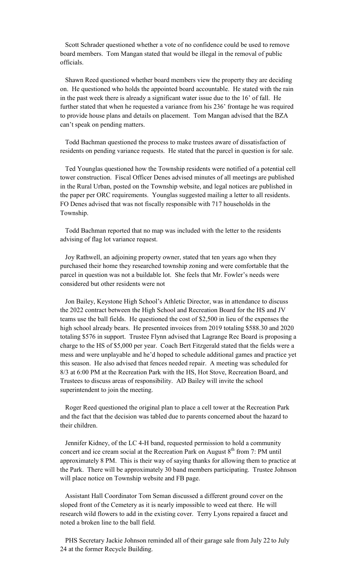Scott Schrader questioned whether a vote of no confidence could be used to remove board members. Tom Mangan stated that would be illegal in the removal of public officials.

 Shawn Reed questioned whether board members view the property they are deciding on. He questioned who holds the appointed board accountable. He stated with the rain in the past week there is already a significant water issue due to the 16' of fall. He further stated that when he requested a variance from his 236' frontage he was required to provide house plans and details on placement. Tom Mangan advised that the BZA can't speak on pending matters.

 Todd Bachman questioned the process to make trustees aware of dissatisfaction of residents on pending variance requests. He stated that the parcel in question is for sale.

 Ted Younglas questioned how the Township residents were notified of a potential cell tower construction. Fiscal Officer Denes advised minutes of all meetings are published in the Rural Urban, posted on the Township website, and legal notices are published in the paper per ORC requirements. Younglas suggested mailing a letter to all residents. FO Denes advised that was not fiscally responsible with 717 households in the Township.

 Todd Bachman reported that no map was included with the letter to the residents advising of flag lot variance request.

 Joy Rathwell, an adjoining property owner, stated that ten years ago when they purchased their home they researched township zoning and were comfortable that the parcel in question was not a buildable lot. She feels that Mr. Fowler's needs were considered but other residents were not

 Jon Bailey, Keystone High School's Athletic Director, was in attendance to discuss the 2022 contract between the High School and Recreation Board for the HS and JV teams use the ball fields. He questioned the cost of \$2,500 in lieu of the expenses the high school already bears. He presented invoices from 2019 totaling \$588.30 and 2020 totaling \$576 in support. Trustee Flynn advised that Lagrange Rec Board is proposing a charge to the HS of \$5,000 per year. Coach Bert Fitzgerald stated that the fields were a mess and were unplayable and he'd hoped to schedule additional games and practice yet this season. He also advised that fences needed repair. A meeting was scheduled for 8/3 at 6:00 PM at the Recreation Park with the HS, Hot Stove, Recreation Board, and Trustees to discuss areas of responsibility. AD Bailey will invite the school superintendent to join the meeting.

 Roger Reed questioned the original plan to place a cell tower at the Recreation Park and the fact that the decision was tabled due to parents concerned about the hazard to their children.

 Jennifer Kidney, of the LC 4-H band, requested permission to hold a community concert and ice cream social at the Recreation Park on August  $8<sup>th</sup>$  from 7: PM until approximately 8 PM. This is their way of saying thanks for allowing them to practice at the Park. There will be approximately 30 band members participating. Trustee Johnson will place notice on Township website and FB page.

 Assistant Hall Coordinator Tom Seman discussed a different ground cover on the sloped front of the Cemetery as it is nearly impossible to weed eat there. He will research wild flowers to add in the existing cover. Terry Lyons repaired a faucet and noted a broken line to the ball field.

 PHS Secretary Jackie Johnson reminded all of their garage sale from July 22 to July 24 at the former Recycle Building.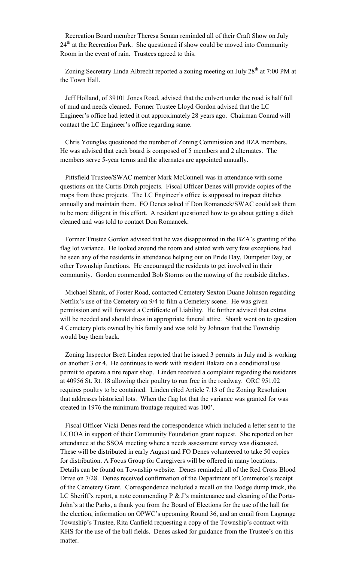Recreation Board member Theresa Seman reminded all of their Craft Show on July  $24<sup>th</sup>$  at the Recreation Park. She questioned if show could be moved into Community Room in the event of rain. Trustees agreed to this.

Zoning Secretary Linda Albrecht reported a zoning meeting on July  $28<sup>th</sup>$  at 7:00 PM at the Town Hall.

 Jeff Holland, of 39101 Jones Road, advised that the culvert under the road is half full of mud and needs cleaned. Former Trustee Lloyd Gordon advised that the LC Engineer's office had jetted it out approximately 28 years ago. Chairman Conrad will contact the LC Engineer's office regarding same.

 Chris Younglas questioned the number of Zoning Commission and BZA members. He was advised that each board is composed of 5 members and 2 alternates. The members serve 5-year terms and the alternates are appointed annually.

 Pittsfield Trustee/SWAC member Mark McConnell was in attendance with some questions on the Curtis Ditch projects. Fiscal Officer Denes will provide copies of the maps from these projects. The LC Engineer's office is supposed to inspect ditches annually and maintain them. FO Denes asked if Don Romancek/SWAC could ask them to be more diligent in this effort. A resident questioned how to go about getting a ditch cleaned and was told to contact Don Romancek.

 Former Trustee Gordon advised that he was disappointed in the BZA's granting of the flag lot variance. He looked around the room and stated with very few exceptions had he seen any of the residents in attendance helping out on Pride Day, Dumpster Day, or other Township functions. He encouraged the residents to get involved in their community. Gordon commended Bob Storms on the mowing of the roadside ditches.

 Michael Shank, of Foster Road, contacted Cemetery Sexton Duane Johnson regarding Netflix's use of the Cemetery on 9/4 to film a Cemetery scene. He was given permission and will forward a Certificate of Liability. He further advised that extras will be needed and should dress in appropriate funeral attire. Shank went on to question 4 Cemetery plots owned by his family and was told by Johnson that the Township would buy them back.

 Zoning Inspector Brett Linden reported that he issued 3 permits in July and is working on another 3 or 4. He continues to work with resident Bakata on a conditional use permit to operate a tire repair shop. Linden received a complaint regarding the residents at 40956 St. Rt. 18 allowing their poultry to run free in the roadway. ORC 951.02 requires poultry to be contained. Linden cited Article 7.13 of the Zoning Resolution that addresses historical lots. When the flag lot that the variance was granted for was created in 1976 the minimum frontage required was 100'.

 Fiscal Officer Vicki Denes read the correspondence which included a letter sent to the LCOOA in support of their Community Foundation grant request. She reported on her attendance at the SSOA meeting where a needs assessment survey was discussed. These will be distributed in early August and FO Denes volunteered to take 50 copies for distribution. A Focus Group for Caregivers will be offered in many locations. Details can be found on Township website. Denes reminded all of the Red Cross Blood Drive on 7/28. Denes received confirmation of the Department of Commerce's receipt of the Cemetery Grant. Correspondence included a recall on the Dodge dump truck, the LC Sheriff's report, a note commending  $P \& J$ 's maintenance and cleaning of the Porta-John's at the Parks, a thank you from the Board of Elections for the use of the hall for the election, information on OPWC's upcoming Round 36, and an email from Lagrange Township's Trustee, Rita Canfield requesting a copy of the Township's contract with KHS for the use of the ball fields. Denes asked for guidance from the Trustee's on this matter.